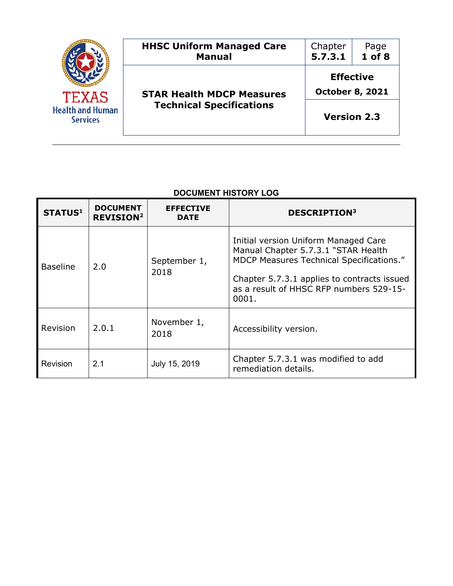| <b>TEXAS</b><br><b>Health and Human</b><br><b>Services</b> | <b>HHSC Uniform Managed Care</b><br><b>Manual</b> | Chapter<br>5.7.3.1                         | Page<br>$1$ of $8$ |
|------------------------------------------------------------|---------------------------------------------------|--------------------------------------------|--------------------|
|                                                            | <b>STAR Health MDCP Measures</b>                  | <b>Effective</b><br><b>October 8, 2021</b> |                    |
|                                                            | <b>Technical Specifications</b>                   | <b>Version 2.3</b>                         |                    |

## **DOCUMENT HISTORY LOG**

| <b>STATUS1</b>  | <b>DOCUMENT</b><br><b>REVISION<sup>2</sup></b> | <b>EFFECTIVE</b><br><b>DATE</b> | <b>DESCRIPTION3</b>                                                                                                                                                                                                        |
|-----------------|------------------------------------------------|---------------------------------|----------------------------------------------------------------------------------------------------------------------------------------------------------------------------------------------------------------------------|
| <b>Baseline</b> | 2.0                                            | September 1,<br>2018            | Initial version Uniform Managed Care<br>Manual Chapter 5.7.3.1 "STAR Health<br>MDCP Measures Technical Specifications."<br>Chapter 5.7.3.1 applies to contracts issued<br>as a result of HHSC RFP numbers 529-15-<br>0001. |
| Revision        | 2.0.1                                          | November 1,<br>2018             | Accessibility version.                                                                                                                                                                                                     |
| Revision        | 2.1                                            | July 15, 2019                   | Chapter 5.7.3.1 was modified to add<br>remediation details.                                                                                                                                                                |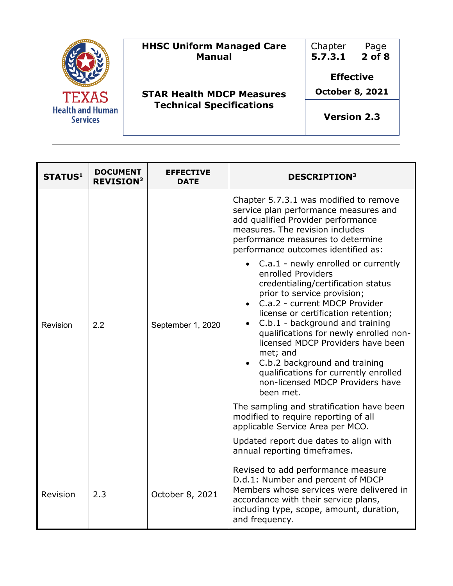| <b>TEXAS</b><br><b>Health and Human</b><br><b>Services</b> | <b>HHSC Uniform Managed Care</b><br><b>Manual</b> | Chapter<br>5.7.3.1                         | Page<br>$2$ of $8$ |
|------------------------------------------------------------|---------------------------------------------------|--------------------------------------------|--------------------|
|                                                            | <b>STAR Health MDCP Measures</b>                  | <b>Effective</b><br><b>October 8, 2021</b> |                    |
|                                                            | <b>Technical Specifications</b>                   | <b>Version 2.3</b>                         |                    |

| <b>STATUS1</b> | <b>DOCUMENT</b><br><b>REVISION<sup>2</sup></b> | <b>EFFECTIVE</b><br><b>DATE</b> | <b>DESCRIPTION3</b>                                                                                                                                                                                                                                                                                                                                                                                                                                                                                                                                                                                                                                                                                                                                                                                                                                                                                                                               |
|----------------|------------------------------------------------|---------------------------------|---------------------------------------------------------------------------------------------------------------------------------------------------------------------------------------------------------------------------------------------------------------------------------------------------------------------------------------------------------------------------------------------------------------------------------------------------------------------------------------------------------------------------------------------------------------------------------------------------------------------------------------------------------------------------------------------------------------------------------------------------------------------------------------------------------------------------------------------------------------------------------------------------------------------------------------------------|
| Revision       | 2.2                                            | September 1, 2020               | Chapter 5.7.3.1 was modified to remove<br>service plan performance measures and<br>add qualified Provider performance<br>measures. The revision includes<br>performance measures to determine<br>performance outcomes identified as:<br>C.a.1 - newly enrolled or currently<br>enrolled Providers<br>credentialing/certification status<br>prior to service provision;<br>C.a.2 - current MDCP Provider<br>$\bullet$<br>license or certification retention;<br>C.b.1 - background and training<br>$\bullet$<br>qualifications for newly enrolled non-<br>licensed MDCP Providers have been<br>met; and<br>C.b.2 background and training<br>$\bullet$<br>qualifications for currently enrolled<br>non-licensed MDCP Providers have<br>been met.<br>The sampling and stratification have been<br>modified to require reporting of all<br>applicable Service Area per MCO.<br>Updated report due dates to align with<br>annual reporting timeframes. |
| Revision       | 2.3                                            | October 8, 2021                 | Revised to add performance measure<br>D.d.1: Number and percent of MDCP<br>Members whose services were delivered in<br>accordance with their service plans,<br>including type, scope, amount, duration,<br>and frequency.                                                                                                                                                                                                                                                                                                                                                                                                                                                                                                                                                                                                                                                                                                                         |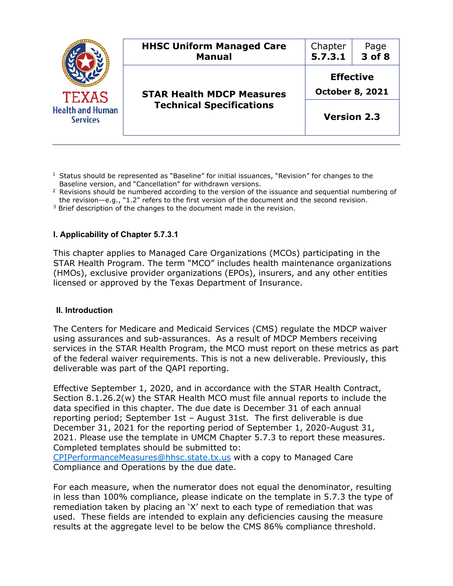

 $<sup>1</sup>$  Status should be represented as "Baseline" for initial issuances, "Revision" for changes to the</sup> Baseline version, and "Cancellation" for withdrawn versions.

<sup>2</sup> Revisions should be numbered according to the version of the issuance and sequential numbering of the revision—e.g., "1.2" refers to the first version of the document and the second revision.

<sup>3</sup> Brief description of the changes to the document made in the revision.

## **I. Applicability of Chapter 5.7.3.1**

This chapter applies to Managed Care Organizations (MCOs) participating in the STAR Health Program. The term "MCO" includes health maintenance organizations (HMOs), exclusive provider organizations (EPOs), insurers, and any other entities licensed or approved by the Texas Department of Insurance.

## **II. Introduction**

The Centers for Medicare and Medicaid Services (CMS) regulate the MDCP waiver using assurances and sub-assurances. As a result of MDCP Members receiving services in the STAR Health Program, the MCO must report on these metrics as part of the federal waiver requirements. This is not a new deliverable. Previously, this deliverable was part of the QAPI reporting.

Effective September 1, 2020, and in accordance with the STAR Health Contract, Section 8.1.26.2(w) the STAR Health MCO must file annual reports to include the data specified in this chapter. The due date is December 31 of each annual reporting period; September 1st – August 31st. The first deliverable is due December 31, 2021 for the reporting period of September 1, 2020-August 31, 2021. Please use the template in UMCM Chapter 5.7.3 to report these measures. Completed templates should be submitted to:

CPIPerformanceMeasures@hhsc.state.tx.us with a copy to Managed Care Compliance and Operations by the due date.

For each measure, when the numerator does not equal the denominator, resulting in less than 100% compliance, please indicate on the template in 5.7.3 the type of remediation taken by placing an 'X' next to each type of remediation that was used. These fields are intended to explain any deficiencies causing the measure results at the aggregate level to be below the CMS 86% compliance threshold.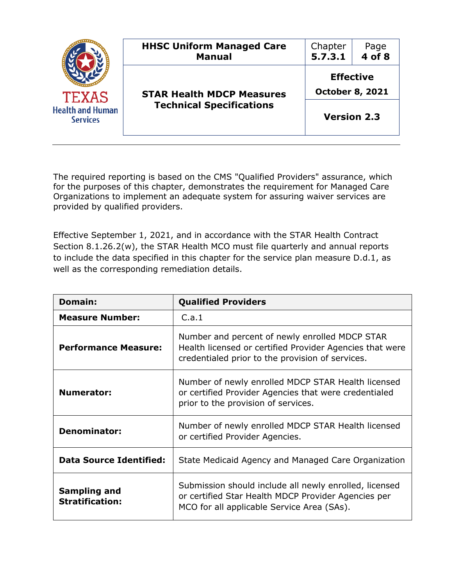| <b>TEXAS</b><br><b>Health and Human</b><br><b>Services</b> | <b>HHSC Uniform Managed Care</b><br><b>Manual</b> | Chapter<br>5.7.3.1                         | Page<br>$4$ of $8$ |
|------------------------------------------------------------|---------------------------------------------------|--------------------------------------------|--------------------|
|                                                            | <b>STAR Health MDCP Measures</b>                  | <b>Effective</b><br><b>October 8, 2021</b> |                    |
|                                                            | <b>Technical Specifications</b>                   | <b>Version 2.3</b>                         |                    |

The required reporting is based on the CMS "Qualified Providers" assurance, which for the purposes of this chapter, demonstrates the requirement for Managed Care Organizations to implement an adequate system for assuring waiver services are provided by qualified providers.

Effective September 1, 2021, and in accordance with the STAR Health Contract Section 8.1.26.2(w), the STAR Health MCO must file quarterly and annual reports to include the data specified in this chapter for the service plan measure D.d.1, as well as the corresponding remediation details.

| Domain:                                | <b>Qualified Providers</b>                                                                                                                                     |
|----------------------------------------|----------------------------------------------------------------------------------------------------------------------------------------------------------------|
| <b>Measure Number:</b>                 | C.a.1                                                                                                                                                          |
| <b>Performance Measure:</b>            | Number and percent of newly enrolled MDCP STAR<br>Health licensed or certified Provider Agencies that were<br>credentialed prior to the provision of services. |
| <b>Numerator:</b>                      | Number of newly enrolled MDCP STAR Health licensed<br>or certified Provider Agencies that were credentialed<br>prior to the provision of services.             |
| <b>Denominator:</b>                    | Number of newly enrolled MDCP STAR Health licensed<br>or certified Provider Agencies.                                                                          |
| <b>Data Source Identified:</b>         | State Medicaid Agency and Managed Care Organization                                                                                                            |
| Sampling and<br><b>Stratification:</b> | Submission should include all newly enrolled, licensed<br>or certified Star Health MDCP Provider Agencies per<br>MCO for all applicable Service Area (SAs).    |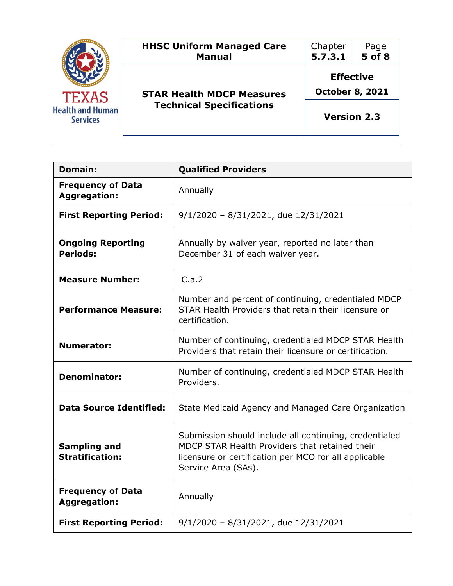| <b>TEXAS</b><br><b>Health and Human</b><br><b>Services</b> | <b>HHSC Uniform Managed Care</b><br><b>Manual</b> | Chapter<br>5.7.3.1                                               | Page<br>$5$ of $8$ |
|------------------------------------------------------------|---------------------------------------------------|------------------------------------------------------------------|--------------------|
|                                                            | <b>STAR Health MDCP Measures</b>                  | <b>Effective</b><br><b>October 8, 2021</b><br><b>Version 2.3</b> |                    |
|                                                            | <b>Technical Specifications</b>                   |                                                                  |                    |

,我们也不会有什么。""我们的人,我们也不会有什么?""我们的人,我们也不会有什么?""我们的人,我们也不会有什么?""我们的人,我们也不会有什么?""我们的人

| <b>Domain:</b>                                                              | <b>Qualified Providers</b>                                                                                                                                                               |
|-----------------------------------------------------------------------------|------------------------------------------------------------------------------------------------------------------------------------------------------------------------------------------|
| <b>Frequency of Data</b><br><b>Aggregation:</b>                             | Annually                                                                                                                                                                                 |
| <b>First Reporting Period:</b><br>$9/1/2020 - 8/31/2021$ , due $12/31/2021$ |                                                                                                                                                                                          |
| <b>Ongoing Reporting</b><br><b>Periods:</b>                                 | Annually by waiver year, reported no later than<br>December 31 of each waiver year.                                                                                                      |
| <b>Measure Number:</b>                                                      | C.a.2                                                                                                                                                                                    |
| <b>Performance Measure:</b>                                                 | Number and percent of continuing, credentialed MDCP<br>STAR Health Providers that retain their licensure or<br>certification.                                                            |
| <b>Numerator:</b>                                                           | Number of continuing, credentialed MDCP STAR Health<br>Providers that retain their licensure or certification.                                                                           |
| <b>Denominator:</b>                                                         | Number of continuing, credentialed MDCP STAR Health<br>Providers.                                                                                                                        |
| <b>Data Source Identified:</b>                                              | State Medicaid Agency and Managed Care Organization                                                                                                                                      |
| <b>Sampling and</b><br><b>Stratification:</b>                               | Submission should include all continuing, credentialed<br>MDCP STAR Health Providers that retained their<br>licensure or certification per MCO for all applicable<br>Service Area (SAs). |
| <b>Frequency of Data</b><br><b>Aggregation:</b>                             | Annually                                                                                                                                                                                 |
| <b>First Reporting Period:</b>                                              | $9/1/2020 - 8/31/2021$ , due $12/31/2021$                                                                                                                                                |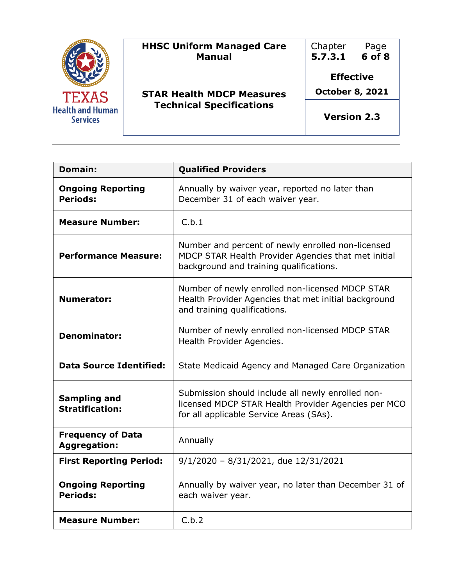| <b>TEXAS</b><br><b>Health and Human</b><br><b>Services</b> | <b>HHSC Uniform Managed Care</b><br><b>Manual</b> | Chapter<br>5.7.3.1                                               | Page<br>$6$ of $8$ |
|------------------------------------------------------------|---------------------------------------------------|------------------------------------------------------------------|--------------------|
|                                                            | <b>STAR Health MDCP Measures</b>                  | <b>Effective</b><br><b>October 8, 2021</b><br><b>Version 2.3</b> |                    |
|                                                            | <b>Technical Specifications</b>                   |                                                                  |                    |

,我们也不会有什么。""我们的人,我们也不会有什么?""我们的人,我们也不会有什么?""我们的人,我们也不会有什么?""我们的人,我们也不会有什么?""我们的人

| <b>Domain:</b>                                                              | <b>Qualified Providers</b>                                                                                                                          |
|-----------------------------------------------------------------------------|-----------------------------------------------------------------------------------------------------------------------------------------------------|
| <b>Ongoing Reporting</b><br><b>Periods:</b>                                 | Annually by waiver year, reported no later than<br>December 31 of each waiver year.                                                                 |
| <b>Measure Number:</b>                                                      | C.b.1                                                                                                                                               |
| <b>Performance Measure:</b>                                                 | Number and percent of newly enrolled non-licensed<br>MDCP STAR Health Provider Agencies that met initial<br>background and training qualifications. |
| <b>Numerator:</b>                                                           | Number of newly enrolled non-licensed MDCP STAR<br>Health Provider Agencies that met initial background<br>and training qualifications.             |
| <b>Denominator:</b>                                                         | Number of newly enrolled non-licensed MDCP STAR<br>Health Provider Agencies.                                                                        |
| <b>Data Source Identified:</b>                                              | State Medicaid Agency and Managed Care Organization                                                                                                 |
| <b>Sampling and</b><br><b>Stratification:</b>                               | Submission should include all newly enrolled non-<br>licensed MDCP STAR Health Provider Agencies per MCO<br>for all applicable Service Areas (SAs). |
| <b>Frequency of Data</b><br><b>Aggregation:</b>                             | Annually                                                                                                                                            |
| <b>First Reporting Period:</b><br>$9/1/2020 - 8/31/2021$ , due $12/31/2021$ |                                                                                                                                                     |
| <b>Ongoing Reporting</b><br><b>Periods:</b>                                 | Annually by waiver year, no later than December 31 of<br>each waiver year.                                                                          |
| <b>Measure Number:</b>                                                      | C.b.2                                                                                                                                               |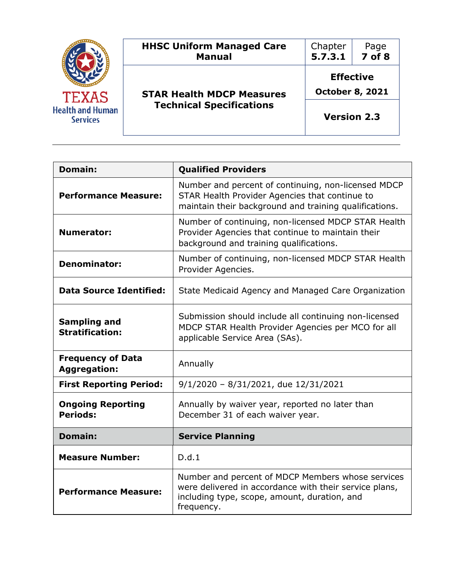| <b>TEXAS</b><br><b>Health and Human</b><br><b>Services</b> | <b>HHSC Uniform Managed Care</b><br><b>Manual</b> | Chapter<br>5.7.3.1                                               | Page<br>7 of 8 |
|------------------------------------------------------------|---------------------------------------------------|------------------------------------------------------------------|----------------|
|                                                            | <b>STAR Health MDCP Measures</b>                  | <b>Effective</b><br><b>October 8, 2021</b><br><b>Version 2.3</b> |                |
|                                                            | <b>Technical Specifications</b>                   |                                                                  |                |

| <b>Domain:</b>                                                                                                                                                           | <b>Qualified Providers</b>                                                                                                                                                |
|--------------------------------------------------------------------------------------------------------------------------------------------------------------------------|---------------------------------------------------------------------------------------------------------------------------------------------------------------------------|
| <b>Performance Measure:</b>                                                                                                                                              | Number and percent of continuing, non-licensed MDCP<br>STAR Health Provider Agencies that continue to<br>maintain their background and training qualifications.           |
| Number of continuing, non-licensed MDCP STAR Health<br><b>Numerator:</b><br>Provider Agencies that continue to maintain their<br>background and training qualifications. |                                                                                                                                                                           |
| <b>Denominator:</b>                                                                                                                                                      | Number of continuing, non-licensed MDCP STAR Health<br>Provider Agencies.                                                                                                 |
| <b>Data Source Identified:</b>                                                                                                                                           | State Medicaid Agency and Managed Care Organization                                                                                                                       |
| <b>Sampling and</b><br><b>Stratification:</b>                                                                                                                            | Submission should include all continuing non-licensed<br>MDCP STAR Health Provider Agencies per MCO for all<br>applicable Service Area (SAs).                             |
| <b>Frequency of Data</b><br><b>Aggregation:</b>                                                                                                                          | Annually                                                                                                                                                                  |
| <b>First Reporting Period:</b>                                                                                                                                           | $9/1/2020 - 8/31/2021$ , due $12/31/2021$                                                                                                                                 |
| <b>Ongoing Reporting</b><br><b>Periods:</b>                                                                                                                              | Annually by waiver year, reported no later than<br>December 31 of each waiver year.                                                                                       |
| Domain:                                                                                                                                                                  | <b>Service Planning</b>                                                                                                                                                   |
| <b>Measure Number:</b>                                                                                                                                                   | D.d.1                                                                                                                                                                     |
| <b>Performance Measure:</b>                                                                                                                                              | Number and percent of MDCP Members whose services<br>were delivered in accordance with their service plans,<br>including type, scope, amount, duration, and<br>frequency. |